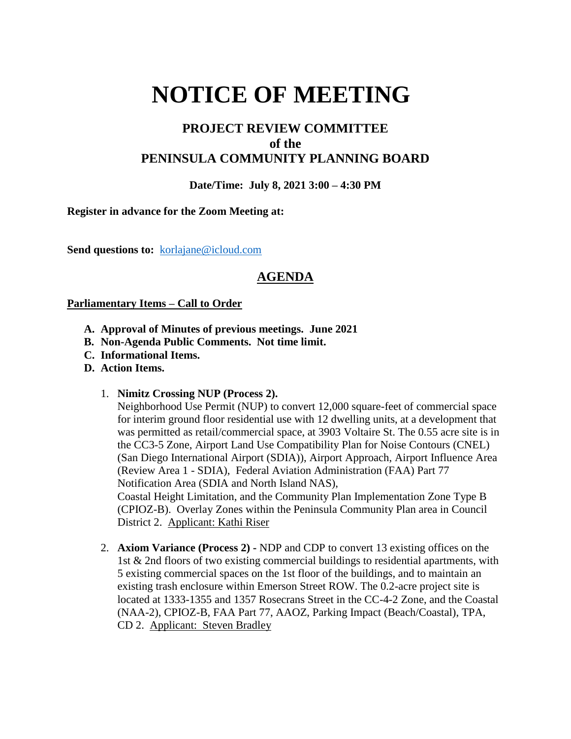# **NOTICE OF MEETING**

## **PROJECT REVIEW COMMITTEE of the PENINSULA COMMUNITY PLANNING BOARD**

### **Date/Time: July 8, 2021 3:00 – 4:30 PM**

#### **Register in advance for the Zoom Meeting at:**

Send questions to: [korlajane@icloud.com](mailto:korlajane@icloud.com)

## **AGENDA**

#### **Parliamentary Items – Call to Order**

- **A. Approval of Minutes of previous meetings. June 2021**
- **B. Non-Agenda Public Comments. Not time limit.**
- **C. Informational Items.**
- **D. Action Items.** 
	- 1. **Nimitz Crossing NUP (Process 2).**

Neighborhood Use Permit (NUP) to convert 12,000 square-feet of commercial space for interim ground floor residential use with 12 dwelling units, at a development that was permitted as retail/commercial space, at 3903 Voltaire St. The 0.55 acre site is in the CC3-5 Zone, Airport Land Use Compatibility Plan for Noise Contours (CNEL) (San Diego International Airport (SDIA)), Airport Approach, Airport Influence Area (Review Area 1 - SDIA), Federal Aviation Administration (FAA) Part 77 Notification Area (SDIA and North Island NAS), Coastal Height Limitation, and the Community Plan Implementation Zone Type B (CPIOZ-B). Overlay Zones within the Peninsula Community Plan area in Council District 2. Applicant: Kathi Riser

2. **Axiom Variance (Process 2) -** NDP and CDP to convert 13 existing offices on the 1st & 2nd floors of two existing commercial buildings to residential apartments, with 5 existing commercial spaces on the 1st floor of the buildings, and to maintain an existing trash enclosure within Emerson Street ROW. The 0.2-acre project site is located at 1333-1355 and 1357 Rosecrans Street in the CC-4-2 Zone, and the Coastal (NAA-2), CPIOZ-B, FAA Part 77, AAOZ, Parking Impact (Beach/Coastal), TPA, CD 2. Applicant: Steven Bradley